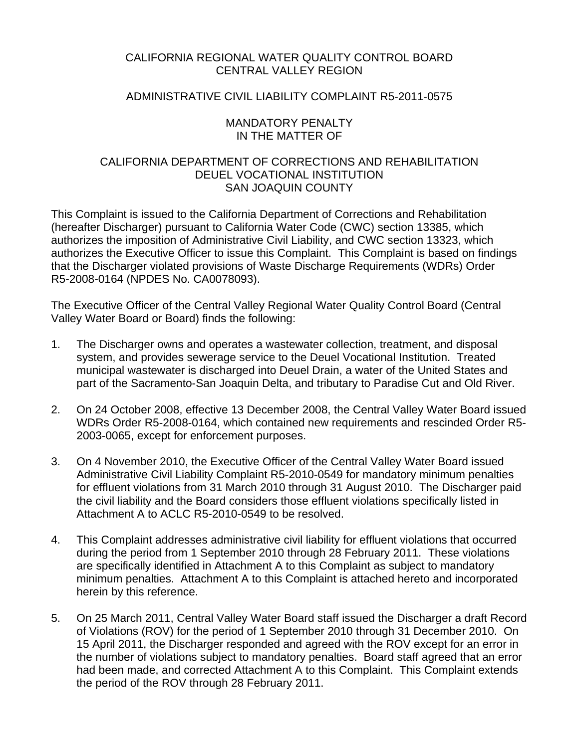# CALIFORNIA REGIONAL WATER QUALITY CONTROL BOARD CENTRAL VALLEY REGION

# ADMINISTRATIVE CIVIL LIABILITY COMPLAINT R5-2011-0575

## MANDATORY PENALTY IN THE MATTER OF

# CALIFORNIA DEPARTMENT OF CORRECTIONS AND REHABILITATION DEUEL VOCATIONAL INSTITUTION SAN JOAQUIN COUNTY

This Complaint is issued to the California Department of Corrections and Rehabilitation (hereafter Discharger) pursuant to California Water Code (CWC) section 13385, which authorizes the imposition of Administrative Civil Liability, and CWC section 13323, which authorizes the Executive Officer to issue this Complaint. This Complaint is based on findings that the Discharger violated provisions of Waste Discharge Requirements (WDRs) Order R5-2008-0164 (NPDES No. CA0078093).

The Executive Officer of the Central Valley Regional Water Quality Control Board (Central Valley Water Board or Board) finds the following:

- 1. The Discharger owns and operates a wastewater collection, treatment, and disposal system, and provides sewerage service to the Deuel Vocational Institution. Treated municipal wastewater is discharged into Deuel Drain, a water of the United States and part of the Sacramento-San Joaquin Delta, and tributary to Paradise Cut and Old River.
- 2. On 24 October 2008, effective 13 December 2008, the Central Valley Water Board issued WDRs Order R5-2008-0164, which contained new requirements and rescinded Order R5- 2003-0065, except for enforcement purposes.
- 3. On 4 November 2010, the Executive Officer of the Central Valley Water Board issued Administrative Civil Liability Complaint R5-2010-0549 for mandatory minimum penalties for effluent violations from 31 March 2010 through 31 August 2010. The Discharger paid the civil liability and the Board considers those effluent violations specifically listed in Attachment A to ACLC R5-2010-0549 to be resolved.
- 4. This Complaint addresses administrative civil liability for effluent violations that occurred during the period from 1 September 2010 through 28 February 2011. These violations are specifically identified in Attachment A to this Complaint as subject to mandatory minimum penalties. Attachment A to this Complaint is attached hereto and incorporated herein by this reference.
- 5. On 25 March 2011, Central Valley Water Board staff issued the Discharger a draft Record of Violations (ROV) for the period of 1 September 2010 through 31 December 2010. On 15 April 2011, the Discharger responded and agreed with the ROV except for an error in the number of violations subject to mandatory penalties. Board staff agreed that an error had been made, and corrected Attachment A to this Complaint. This Complaint extends the period of the ROV through 28 February 2011.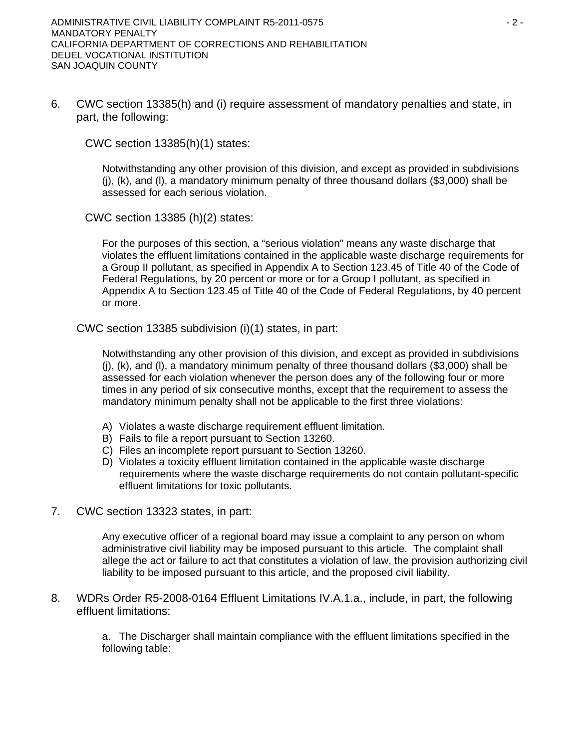6. CWC section 13385(h) and (i) require assessment of mandatory penalties and state, in part, the following:

CWC section 13385(h)(1) states:

Notwithstanding any other provision of this division, and except as provided in subdivisions  $(i)$ ,  $(k)$ , and  $(l)$ , a mandatory minimum penalty of three thousand dollars (\$3,000) shall be assessed for each serious violation.

CWC section 13385 (h)(2) states:

For the purposes of this section, a "serious violation" means any waste discharge that violates the effluent limitations contained in the applicable waste discharge requirements for a Group II pollutant, as specified in Appendix A to Section 123.45 of Title 40 of the Code of Federal Regulations, by 20 percent or more or for a Group I pollutant, as specified in Appendix A to Section 123.45 of Title 40 of the Code of Federal Regulations, by 40 percent or more.

CWC section 13385 subdivision (i)(1) states, in part:

Notwithstanding any other provision of this division, and except as provided in subdivisions (j), (k), and (l), a mandatory minimum penalty of three thousand dollars (\$3,000) shall be assessed for each violation whenever the person does any of the following four or more times in any period of six consecutive months, except that the requirement to assess the mandatory minimum penalty shall not be applicable to the first three violations:

- A) Violates a waste discharge requirement effluent limitation.
- B) Fails to file a report pursuant to Section 13260.
- C) Files an incomplete report pursuant to Section 13260.
- D) Violates a toxicity effluent limitation contained in the applicable waste discharge requirements where the waste discharge requirements do not contain pollutant-specific effluent limitations for toxic pollutants.
- 7. CWC section 13323 states, in part:

Any executive officer of a regional board may issue a complaint to any person on whom administrative civil liability may be imposed pursuant to this article. The complaint shall allege the act or failure to act that constitutes a violation of law, the provision authorizing civil liability to be imposed pursuant to this article, and the proposed civil liability.

8. WDRs Order R5-2008-0164 Effluent Limitations IV.A.1.a., include, in part, the following effluent limitations:

> a. The Discharger shall maintain compliance with the effluent limitations specified in the following table: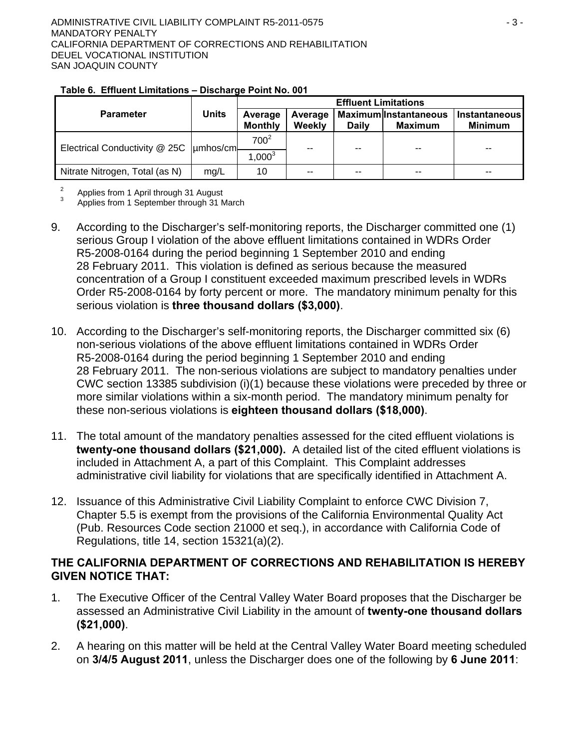|                                            | <b>Units</b> | <b>Effluent Limitations</b> |                   |              |                                                |                                        |  |
|--------------------------------------------|--------------|-----------------------------|-------------------|--------------|------------------------------------------------|----------------------------------------|--|
| <b>Parameter</b>                           |              | Average<br><b>Monthly</b>   | Average<br>Weekly | <b>Daily</b> | <b>Maximum</b> Instantaneous<br><b>Maximum</b> | <b>Instantaneous</b><br><b>Minimum</b> |  |
| Electrical Conductivity @ 25C   umhos/cml- |              | 700 <sup>2</sup>            | --                | $- -$        | $-$                                            | $- -$                                  |  |
|                                            |              | $1,000^3$                   |                   |              |                                                |                                        |  |
| Nitrate Nitrogen, Total (as N)             | mg/L         | 10                          | $\sim$ $\sim$     | $-$          | $-$                                            | $- -$                                  |  |

### **Table 6. Effluent Limitations – Discharge Point No. 001**

2 Applies from 1 April through 31 August

3 Applies from 1 September through 31 March

- 9. According to the Discharger's self-monitoring reports, the Discharger committed one (1) serious Group I violation of the above effluent limitations contained in WDRs Order R5-2008-0164 during the period beginning 1 September 2010 and ending 28 February 2011. This violation is defined as serious because the measured concentration of a Group I constituent exceeded maximum prescribed levels in WDRs Order R5-2008-0164 by forty percent or more. The mandatory minimum penalty for this serious violation is **three thousand dollars (\$3,000)**.
- 10. According to the Discharger's self-monitoring reports, the Discharger committed six (6) non-serious violations of the above effluent limitations contained in WDRs Order R5-2008-0164 during the period beginning 1 September 2010 and ending 28 February 2011. The non-serious violations are subject to mandatory penalties under CWC section 13385 subdivision (i)(1) because these violations were preceded by three or more similar violations within a six-month period. The mandatory minimum penalty for these non-serious violations is **eighteen thousand dollars (\$18,000)**.
- 11. The total amount of the mandatory penalties assessed for the cited effluent violations is **twenty-one thousand dollars (\$21,000).** A detailed list of the cited effluent violations is included in Attachment A, a part of this Complaint. This Complaint addresses administrative civil liability for violations that are specifically identified in Attachment A.
- 12. Issuance of this Administrative Civil Liability Complaint to enforce CWC Division 7, Chapter 5.5 is exempt from the provisions of the California Environmental Quality Act (Pub. Resources Code section 21000 et seq.), in accordance with California Code of Regulations, title 14, section 15321(a)(2).

# **THE CALIFORNIA DEPARTMENT OF CORRECTIONS AND REHABILITATION IS HEREBY GIVEN NOTICE THAT:**

- 1. The Executive Officer of the Central Valley Water Board proposes that the Discharger be assessed an Administrative Civil Liability in the amount of **twenty-one thousand dollars (\$21,000)**.
- 2. A hearing on this matter will be held at the Central Valley Water Board meeting scheduled on **3/4/5 August 2011**, unless the Discharger does one of the following by **6 June 2011**: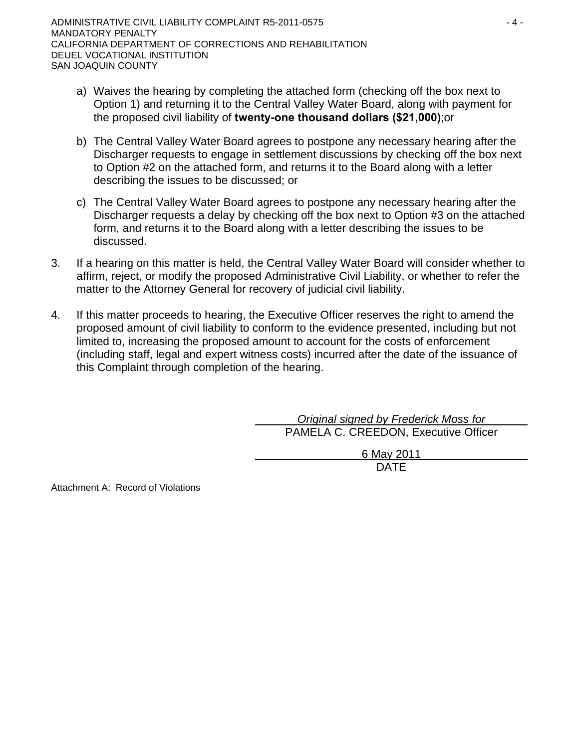ADMINISTRATIVE CIVIL LIABILITY COMPLAINT R5-2011-0575 4 - 4 -MANDATORY PENALTY CALIFORNIA DEPARTMENT OF CORRECTIONS AND REHABILITATION DEUEL VOCATIONAL INSTITUTION SAN JOAQUIN COUNTY

- a) Waives the hearing by completing the attached form (checking off the box next to Option 1) and returning it to the Central Valley Water Board, along with payment for the proposed civil liability of **twenty-one thousand dollars (\$21,000)**;or
- b) The Central Valley Water Board agrees to postpone any necessary hearing after the Discharger requests to engage in settlement discussions by checking off the box next to Option #2 on the attached form, and returns it to the Board along with a letter describing the issues to be discussed; or
- c) The Central Valley Water Board agrees to postpone any necessary hearing after the Discharger requests a delay by checking off the box next to Option #3 on the attached form, and returns it to the Board along with a letter describing the issues to be discussed.
- 3. If a hearing on this matter is held, the Central Valley Water Board will consider whether to affirm, reject, or modify the proposed Administrative Civil Liability, or whether to refer the matter to the Attorney General for recovery of judicial civil liability.
- 4. If this matter proceeds to hearing, the Executive Officer reserves the right to amend the proposed amount of civil liability to conform to the evidence presented, including but not limited to, increasing the proposed amount to account for the costs of enforcement (including staff, legal and expert witness costs) incurred after the date of the issuance of this Complaint through completion of the hearing.

 *Original signed by Frederick Moss for* PAMELA C. CREEDON, Executive Officer

> 6 May 2011 DATE

Attachment A: Record of Violations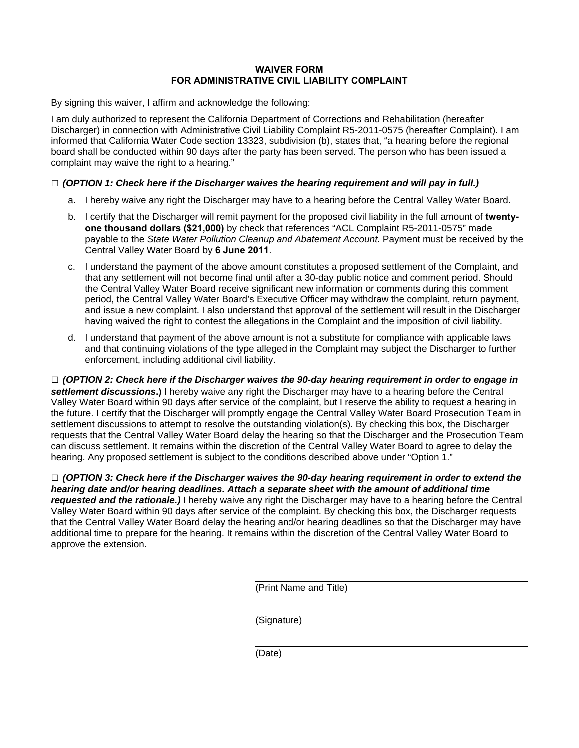### **WAIVER FORM FOR ADMINISTRATIVE CIVIL LIABILITY COMPLAINT**

By signing this waiver, I affirm and acknowledge the following:

I am duly authorized to represent the California Department of Corrections and Rehabilitation (hereafter Discharger) in connection with Administrative Civil Liability Complaint R5-2011-0575 (hereafter Complaint). I am informed that California Water Code section 13323, subdivision (b), states that, "a hearing before the regional board shall be conducted within 90 days after the party has been served. The person who has been issued a complaint may waive the right to a hearing."

### **□** *(OPTION 1: Check here if the Discharger waives the hearing requirement and will pay in full.)*

- a. I hereby waive any right the Discharger may have to a hearing before the Central Valley Water Board.
- b. I certify that the Discharger will remit payment for the proposed civil liability in the full amount of **twentyone thousand dollars (\$21,000)** by check that references "ACL Complaint R5-2011-0575" made payable to the *State Water Pollution Cleanup and Abatement Account*. Payment must be received by the Central Valley Water Board by **6 June 2011**.
- c. I understand the payment of the above amount constitutes a proposed settlement of the Complaint, and that any settlement will not become final until after a 30-day public notice and comment period. Should the Central Valley Water Board receive significant new information or comments during this comment period, the Central Valley Water Board's Executive Officer may withdraw the complaint, return payment, and issue a new complaint. I also understand that approval of the settlement will result in the Discharger having waived the right to contest the allegations in the Complaint and the imposition of civil liability.
- d. I understand that payment of the above amount is not a substitute for compliance with applicable laws and that continuing violations of the type alleged in the Complaint may subject the Discharger to further enforcement, including additional civil liability.

**□** *(OPTION 2: Check here if the Discharger waives the 90-day hearing requirement in order to engage in settlement discussions***.)** I hereby waive any right the Discharger may have to a hearing before the Central Valley Water Board within 90 days after service of the complaint, but I reserve the ability to request a hearing in the future. I certify that the Discharger will promptly engage the Central Valley Water Board Prosecution Team in settlement discussions to attempt to resolve the outstanding violation(s). By checking this box, the Discharger requests that the Central Valley Water Board delay the hearing so that the Discharger and the Prosecution Team can discuss settlement. It remains within the discretion of the Central Valley Water Board to agree to delay the hearing. Any proposed settlement is subject to the conditions described above under "Option 1."

**□** *(OPTION 3: Check here if the Discharger waives the 90-day hearing requirement in order to extend the hearing date and/or hearing deadlines. Attach a separate sheet with the amount of additional time requested and the rationale.)* I hereby waive any right the Discharger may have to a hearing before the Central Valley Water Board within 90 days after service of the complaint. By checking this box, the Discharger requests that the Central Valley Water Board delay the hearing and/or hearing deadlines so that the Discharger may have additional time to prepare for the hearing. It remains within the discretion of the Central Valley Water Board to approve the extension.

(Print Name and Title)

(Signature)

(Date)